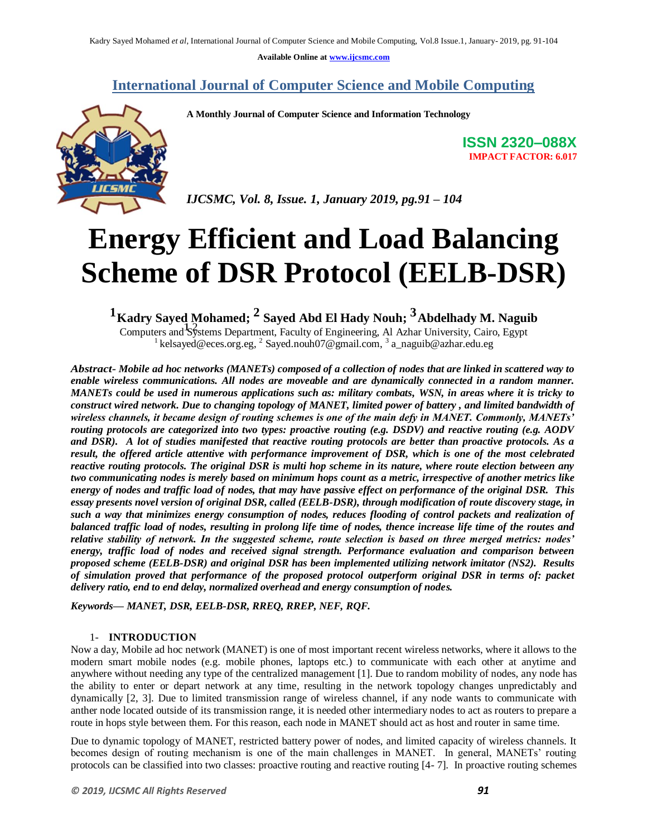**Available Online at www.ijcsmc.com**

### **International Journal of Computer Science and Mobile Computing**

 **A Monthly Journal of Computer Science and Information Technology**



**ISSN 2320–088X IMPACT FACTOR: 6.017**

 *IJCSMC, Vol. 8, Issue. 1, January 2019, pg.91 – 104*

# **Energy Efficient and Load Balancing Scheme of DSR Protocol (EELB-DSR)**

**1Kadry Sayed Mohamed; 2 Sayed Abd El Hady Nouh; 3Abdelhady M. Naguib** Exactly Bayed Monamed, Bayed Abd Et Hady Noun, Abdemady M. Nagu<br>Computers and Systems Department, Faculty of Engineering, Al Azhar University, Cairo, Egypt

<sup>1</sup> kelsayed@eces.org.eg, <sup>2</sup> Sayed.nouh07@gmail.com, <sup>3</sup> a\_naguib@azhar.edu.eg

*Abstract- Mobile ad hoc networks (MANETs) composed of a collection of nodes that are linked in scattered way to enable wireless communications. All nodes are moveable and are dynamically connected in a random manner. MANETs could be used in numerous applications such as: military combats, WSN, in areas where it is tricky to construct wired network. Due to changing topology of MANET, limited power of battery , and limited bandwidth of wireless channels, it became design of routing schemes is one of the main defy in MANET. Commonly, MANETs' routing protocols are categorized into two types: proactive routing (e.g. DSDV) and reactive routing (e.g. AODV and DSR). A lot of studies manifested that reactive routing protocols are better than proactive protocols. As a result, the offered article attentive with performance improvement of DSR, which is one of the most celebrated reactive routing protocols. The original DSR is multi hop scheme in its nature, where route election between any two communicating nodes is merely based on minimum hops count as a metric, irrespective of another metrics like energy of nodes and traffic load of nodes, that may have passive effect on performance of the original DSR. This essay presents novel version of original DSR, called (EELB-DSR), through modification of route discovery stage, in such a way that minimizes energy consumption of nodes, reduces flooding of control packets and realization of balanced traffic load of nodes, resulting in prolong life time of nodes, thence increase life time of the routes and relative stability of network. In the suggested scheme, route selection is based on three merged metrics: nodes' energy, traffic load of nodes and received signal strength. Performance evaluation and comparison between proposed scheme (EELB-DSR) and original DSR has been implemented utilizing network imitator (NS2). Results of simulation proved that performance of the proposed protocol outperform original DSR in terms of: packet delivery ratio, end to end delay, normalized overhead and energy consumption of nodes.*

*Keywords— MANET, DSR, EELB-DSR, RREQ, RREP, NEF, RQF.* 

#### 1- **INTRODUCTION**

Now a day, Mobile ad hoc network (MANET) is one of most important recent wireless networks, where it allows to the modern smart mobile nodes (e.g. mobile phones, laptops etc.) to communicate with each other at anytime and anywhere without needing any type of the centralized management [1]. Due to random mobility of nodes, any node has the ability to enter or depart network at any time, resulting in the network topology changes unpredictably and dynamically [2, 3]. Due to limited transmission range of wireless channel, if any node wants to communicate with anther node located outside of its transmission range, it is needed other intermediary nodes to act as routers to prepare a route in hops style between them. For this reason, each node in MANET should act as host and router in same time.

Due to dynamic topology of MANET, restricted battery power of nodes, and limited capacity of wireless channels. It becomes design of routing mechanism is one of the main challenges in MANET. In general, MANETs' routing protocols can be classified into two classes: proactive routing and reactive routing [4- 7]. In proactive routing schemes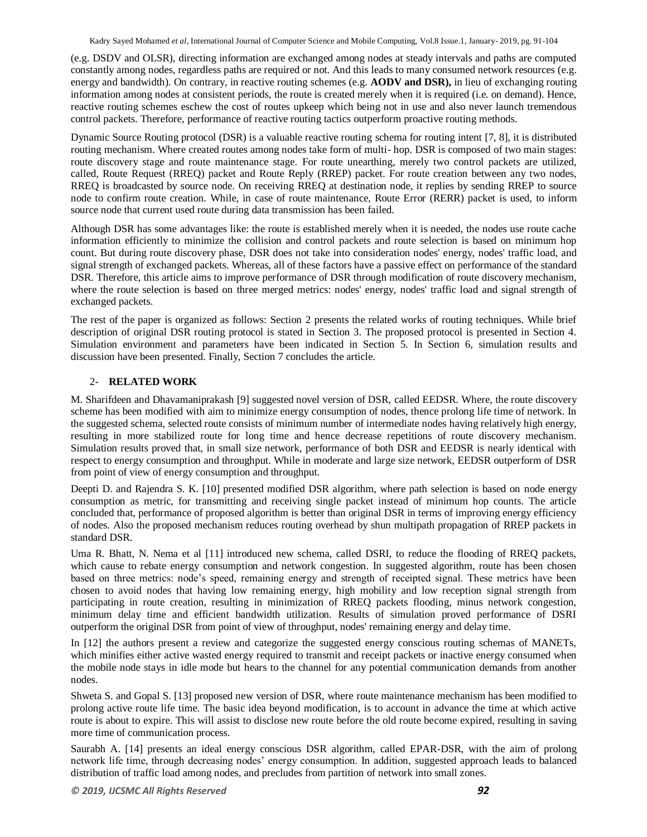(e.g. DSDV and OLSR), directing information are exchanged among nodes at steady intervals and paths are computed constantly among nodes, regardless paths are required or not. And this leads to many consumed network resources (e.g. energy and bandwidth). On contrary, in reactive routing schemes (e.g. **AODV and DSR),** in lieu of exchanging routing information among nodes at consistent periods, the route is created merely when it is required (i.e. on demand). Hence, reactive routing schemes eschew the cost of routes upkeep which being not in use and also never launch tremendous control packets. Therefore, performance of reactive routing tactics outperform proactive routing methods.

Dynamic Source Routing protocol (DSR) is a valuable reactive routing schema for routing intent [7, 8], it is distributed routing mechanism. Where created routes among nodes take form of multi- hop. DSR is composed of two main stages: route discovery stage and route maintenance stage. For route unearthing, merely two control packets are utilized, called, Route Request (RREQ) packet and Route Reply (RREP) packet. For route creation between any two nodes, RREQ is broadcasted by source node. On receiving RREQ at destination node, it replies by sending RREP to source node to confirm route creation. While, in case of route maintenance, Route Error (RERR) packet is used, to inform source node that current used route during data transmission has been failed.

Although DSR has some advantages like: the route is established merely when it is needed, the nodes use route cache information efficiently to minimize the collision and control packets and route selection is based on minimum hop count. But during route discovery phase, DSR does not take into consideration nodes' energy, nodes' traffic load, and signal strength of exchanged packets. Whereas, all of these factors have a passive effect on performance of the standard DSR. Therefore, this article aims to improve performance of DSR through modification of route discovery mechanism, where the route selection is based on three merged metrics: nodes' energy, nodes' traffic load and signal strength of exchanged packets.

The rest of the paper is organized as follows: Section 2 presents the related works of routing techniques. While brief description of original DSR routing protocol is stated in Section 3. The proposed protocol is presented in Section 4. Simulation environment and parameters have been indicated in Section 5. In Section 6, simulation results and discussion have been presented. Finally, Section 7 concludes the article.

#### 2- **RELATED WORK**

M. Sharifdeen and Dhavamaniprakash [9] suggested novel version of DSR, called EEDSR. Where, the route discovery scheme has been modified with aim to minimize energy consumption of nodes, thence prolong life time of network. In the suggested schema, selected route consists of minimum number of intermediate nodes having relatively high energy, resulting in more stabilized route for long time and hence decrease repetitions of route discovery mechanism. Simulation results proved that, in small size network, performance of both DSR and EEDSR is nearly identical with respect to energy consumption and throughput. While in moderate and large size network, EEDSR outperform of DSR from point of view of energy consumption and throughput.

Deepti D. and Rajendra S. K. [10] presented modified DSR algorithm, where path selection is based on node energy consumption as metric, for transmitting and receiving single packet instead of minimum hop counts. The article concluded that, performance of proposed algorithm is better than original DSR in terms of improving energy efficiency of nodes. Also the proposed mechanism reduces routing overhead by shun multipath propagation of RREP packets in standard DSR.

Uma R. Bhatt, N. Nema et al [11] introduced new schema, called DSRI, to reduce the flooding of RREQ packets, which cause to rebate energy consumption and network congestion. In suggested algorithm, route has been chosen based on three metrics: node's speed, remaining energy and strength of receipted signal. These metrics have been chosen to avoid nodes that having low remaining energy, high mobility and low reception signal strength from participating in route creation, resulting in minimization of RREQ packets flooding, minus network congestion, minimum delay time and efficient bandwidth utilization. Results of simulation proved performance of DSRI outperform the original DSR from point of view of throughput, nodes' remaining energy and delay time.

In [12] the authors present a review and categorize the suggested energy conscious routing schemas of MANETs, which minifies either active wasted energy required to transmit and receipt packets or inactive energy consumed when the mobile node stays in idle mode but hears to the channel for any potential communication demands from another nodes.

Shweta S. and Gopal S. [13] proposed new version of DSR, where route maintenance mechanism has been modified to prolong active route life time. The basic idea beyond modification, is to account in advance the time at which active route is about to expire. This will assist to disclose new route before the old route become expired, resulting in saving more time of communication process.

Saurabh A. [14] presents an ideal energy conscious DSR algorithm, called EPAR-DSR, with the aim of prolong network life time, through decreasing nodes' energy consumption. In addition, suggested approach leads to balanced distribution of traffic load among nodes, and precludes from partition of network into small zones.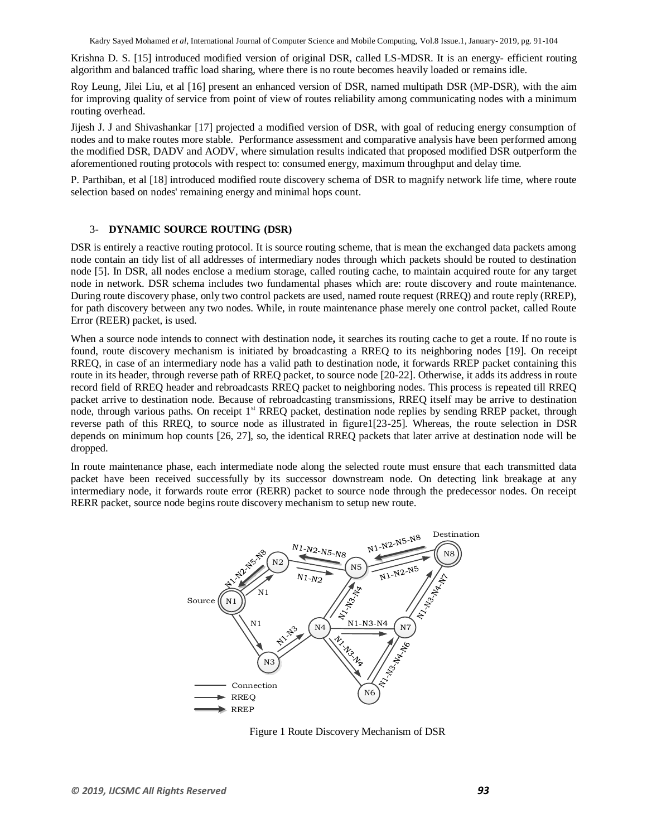Krishna D. S. [15] introduced modified version of original DSR, called LS-MDSR. It is an energy- efficient routing algorithm and balanced traffic load sharing, where there is no route becomes heavily loaded or remains idle.

Roy Leung, Jilei Liu, et al [16] present an enhanced version of DSR, named multipath DSR (MP-DSR), with the aim for improving quality of service from point of view of routes reliability among communicating nodes with a minimum routing overhead.

Jijesh J. J and Shivashankar [17] projected a modified version of DSR, with goal of reducing energy consumption of nodes and to make routes more stable. Performance assessment and comparative analysis have been performed among the modified DSR, DADV and AODV, where simulation results indicated that proposed modified DSR outperform the aforementioned routing protocols with respect to: consumed energy, maximum throughput and delay time.

P. Parthiban, et al [18] introduced modified route discovery schema of DSR to magnify network life time, where route selection based on nodes' remaining energy and minimal hops count.

#### 3- **DYNAMIC SOURCE ROUTING (DSR)**

DSR is entirely a reactive routing protocol. It is source routing scheme, that is mean the exchanged data packets among node contain an tidy list of all addresses of intermediary nodes through which packets should be routed to destination node [5]. In DSR, all nodes enclose a medium storage, called routing cache, to maintain acquired route for any target node in network. DSR schema includes two fundamental phases which are: route discovery and route maintenance. During route discovery phase, only two control packets are used, named route request (RREQ) and route reply (RREP), for path discovery between any two nodes. While, in route maintenance phase merely one control packet, called Route Error (REER) packet, is used.

When a source node intends to connect with destination node**,** it searches its routing cache to get a route. If no route is found, route discovery mechanism is initiated by broadcasting a RREQ to its neighboring nodes [19]. On receipt RREQ, in case of an intermediary node has a valid path to destination node, it forwards RREP packet containing this route in its header, through reverse path of RREQ packet, to source node [20-22]. Otherwise, it adds its address in route record field of RREQ header and rebroadcasts RREQ packet to neighboring nodes. This process is repeated till RREQ packet arrive to destination node. Because of rebroadcasting transmissions, RREQ itself may be arrive to destination node, through various paths. On receipt 1<sup>st</sup> RREQ packet, destination node replies by sending RREP packet, through reverse path of this RREQ, to source node as illustrated in figure1[23-25]. Whereas, the route selection in DSR depends on minimum hop counts [26, 27], so, the identical RREQ packets that later arrive at destination node will be dropped.

In route maintenance phase, each intermediate node along the selected route must ensure that each transmitted data packet have been received successfully by its successor downstream node. On detecting link breakage at any intermediary node, it forwards route error (RERR) packet to source node through the predecessor nodes. On receipt RERR packet, source node begins route discovery mechanism to setup new route.



Figure 1 Route Discovery Mechanism of DSR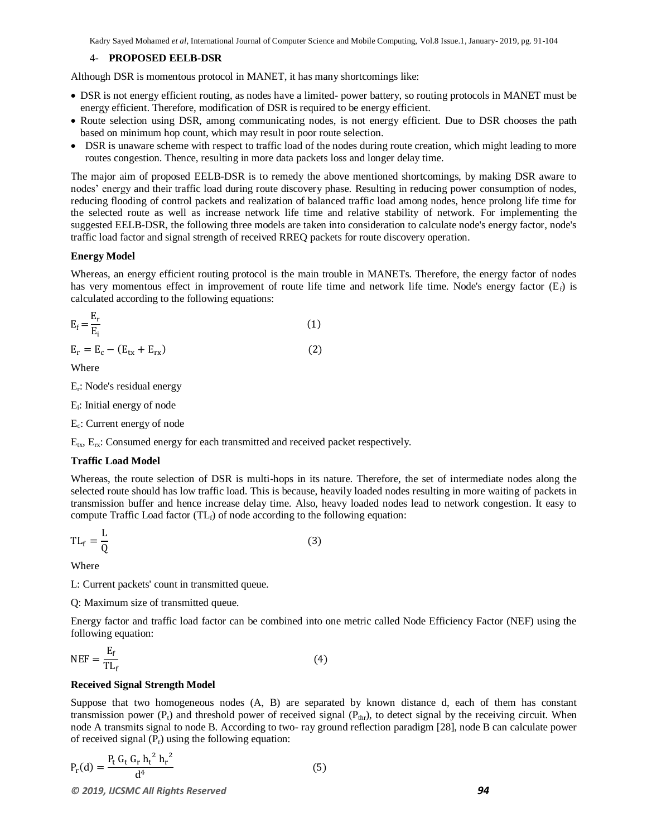#### 4- **PROPOSED EELB-DSR**

Although DSR is momentous protocol in MANET, it has many shortcomings like:

- DSR is not energy efficient routing, as nodes have a limited- power battery, so routing protocols in MANET must be energy efficient. Therefore, modification of DSR is required to be energy efficient.
- Route selection using DSR, among communicating nodes, is not energy efficient. Due to DSR chooses the path based on minimum hop count, which may result in poor route selection.
- DSR is unaware scheme with respect to traffic load of the nodes during route creation, which might leading to more routes congestion. Thence, resulting in more data packets loss and longer delay time.

The major aim of proposed EELB-DSR is to remedy the above mentioned shortcomings, by making DSR aware to nodes' energy and their traffic load during route discovery phase. Resulting in reducing power consumption of nodes, reducing flooding of control packets and realization of balanced traffic load among nodes, hence prolong life time for the selected route as well as increase network life time and relative stability of network. For implementing the suggested EELB-DSR, the following three models are taken into consideration to calculate node's energy factor, node's traffic load factor and signal strength of received RREQ packets for route discovery operation.

#### **Energy Model**

Whereas, an energy efficient routing protocol is the main trouble in MANETs. Therefore, the energy factor of nodes has very momentous effect in improvement of route life time and network life time. Node's energy factor  $(E_f)$  is calculated according to the following equations:

$$
E_f = \frac{E_r}{E_i} \tag{1}
$$

$$
E_r = E_c - (E_{tx} + E_{rx})
$$
\n(2)

Where

Er : Node's residual energy

Ei : Initial energy of node

Ec : Current energy of node

 $E_{tx}$ ,  $E_{rx}$ : Consumed energy for each transmitted and received packet respectively.

#### **Traffic Load Model**

Whereas, the route selection of DSR is multi-hops in its nature. Therefore, the set of intermediate nodes along the selected route should has low traffic load. This is because, heavily loaded nodes resulting in more waiting of packets in transmission buffer and hence increase delay time. Also, heavy loaded nodes lead to network congestion. It easy to compute Traffic Load factor  $(T_{\text{Lf}})$  of node according to the following equation:

$$
TL_f = \frac{L}{Q}
$$
 (3)

Where

L: Current packets' count in transmitted queue.

Q: Maximum size of transmitted queue.

Energy factor and traffic load factor can be combined into one metric called Node Efficiency Factor (NEF) using the following equation:

$$
NEF = \frac{E_f}{TL_f}
$$
 (4)

#### **Received Signal Strength Model**

Suppose that two homogeneous nodes (A, B) are separated by known distance d, each of them has constant transmission power ( $P_t$ ) and threshold power of received signal ( $P_{thr}$ ), to detect signal by the receiving circuit. When node A transmits signal to node B. According to two- ray ground reflection paradigm [28], node B can calculate power of received signal  $(P_r)$  using the following equation:

$$
P_{r}(d) = \frac{P_{t} G_{t} G_{r} h_{t}^{2} h_{r}^{2}}{d^{4}}
$$
\n(5)

*© 2019, IJCSMC All Rights Reserved 94*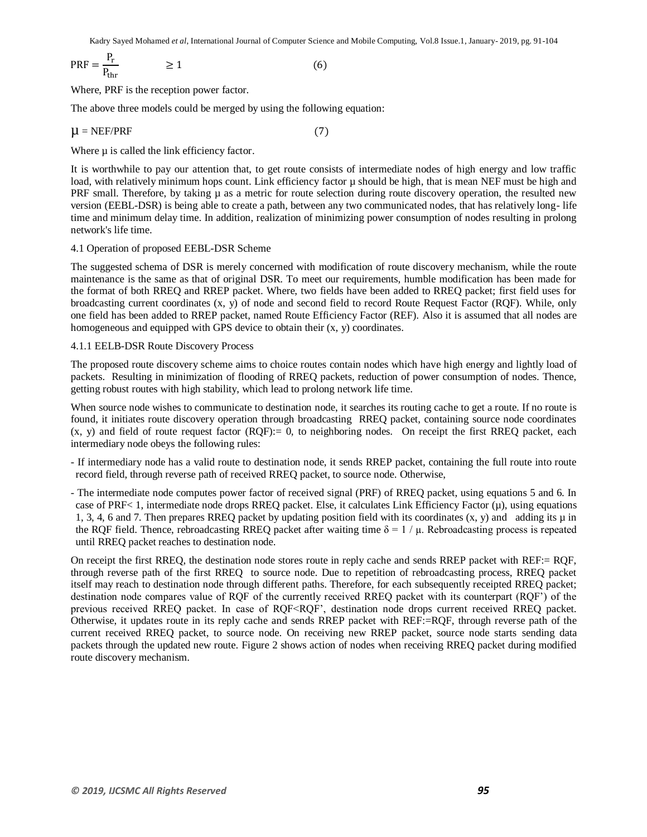$$
PRF = \frac{P_r}{P_{thr}} \qquad \geq 1 \tag{6}
$$

Where, PRF is the reception power factor.

The above three models could be merged by using the following equation:

$$
\mu = \text{NEF/PRF} \tag{7}
$$

Where  $\mu$  is called the link efficiency factor.

It is worthwhile to pay our attention that, to get route consists of intermediate nodes of high energy and low traffic load, with relatively minimum hops count. Link efficiency factor  $\mu$  should be high, that is mean NEF must be high and PRF small. Therefore, by taking  $\mu$  as a metric for route selection during route discovery operation, the resulted new version (EEBL-DSR) is being able to create a path, between any two communicated nodes, that has relatively long- life time and minimum delay time. In addition, realization of minimizing power consumption of nodes resulting in prolong network's life time.

#### 4.1 Operation of proposed EEBL-DSR Scheme

The suggested schema of DSR is merely concerned with modification of route discovery mechanism, while the route maintenance is the same as that of original DSR. To meet our requirements, humble modification has been made for the format of both RREQ and RREP packet. Where, two fields have been added to RREQ packet; first field uses for broadcasting current coordinates (x, y) of node and second field to record Route Request Factor (RQF). While, only one field has been added to RREP packet, named Route Efficiency Factor (REF). Also it is assumed that all nodes are homogeneous and equipped with GPS device to obtain their (x, y) coordinates.

#### 4.1.1 EELB-DSR Route Discovery Process

The proposed route discovery scheme aims to choice routes contain nodes which have high energy and lightly load of packets. Resulting in minimization of flooding of RREQ packets, reduction of power consumption of nodes. Thence, getting robust routes with high stability, which lead to prolong network life time.

When source node wishes to communicate to destination node, it searches its routing cache to get a route. If no route is found, it initiates route discovery operation through broadcasting RREQ packet, containing source node coordinates  $(x, y)$  and field of route request factor  $(RQF)=0$ , to neighboring nodes. On receipt the first RREQ packet, each intermediary node obeys the following rules:

- If intermediary node has a valid route to destination node, it sends RREP packet, containing the full route into route record field, through reverse path of received RREQ packet, to source node. Otherwise,
- The intermediate node computes power factor of received signal (PRF) of RREQ packet, using equations 5 and 6. In case of PRF< 1, intermediate node drops RREQ packet. Else, it calculates Link Efficiency Factor  $(\mu)$ , using equations 1, 3, 4, 6 and 7. Then prepares RREQ packet by updating position field with its coordinates  $(x, y)$  and adding its  $\mu$  in the RQF field. Thence, rebroadcasting RREQ packet after waiting time  $\delta = 1/\mu$ . Rebroadcasting process is repeated until RREQ packet reaches to destination node.

On receipt the first RREQ, the destination node stores route in reply cache and sends RREP packet with REF:= RQF, through reverse path of the first RREQ to source node. Due to repetition of rebroadcasting process, RREQ packet itself may reach to destination node through different paths. Therefore, for each subsequently receipted RREQ packet; destination node compares value of RQF of the currently received RREQ packet with its counterpart (RQF') of the previous received RREQ packet. In case of RQF<RQF', destination node drops current received RREQ packet. Otherwise, it updates route in its reply cache and sends RREP packet with REF:=RQF, through reverse path of the current received RREQ packet, to source node. On receiving new RREP packet, source node starts sending data packets through the updated new route. Figure 2 shows action of nodes when receiving RREQ packet during modified route discovery mechanism.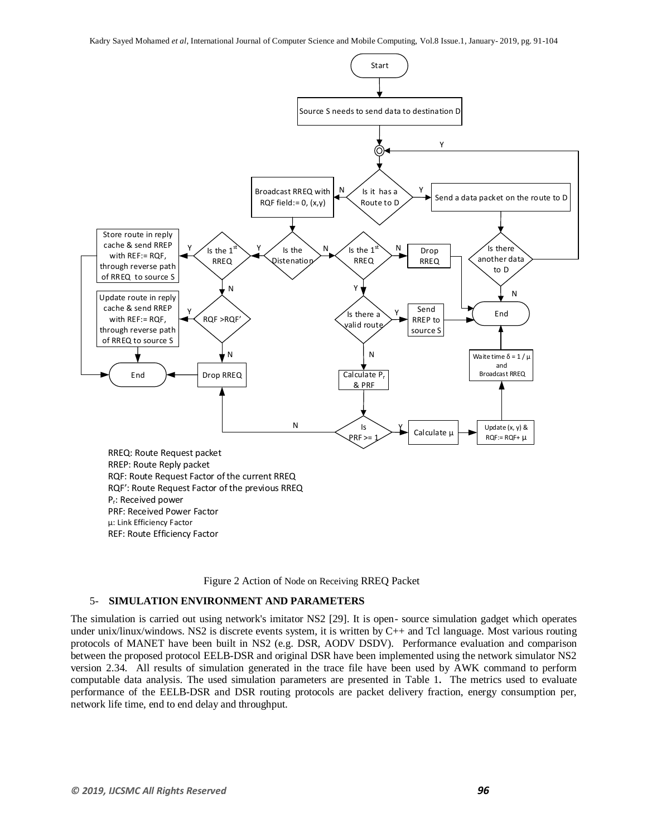



#### 5- **SIMULATION ENVIRONMENT AND PARAMETERS**

The simulation is carried out using network's imitator NS2 [29]. It is open- source simulation gadget which operates under unix/linux/windows. NS2 is discrete events system, it is written by C++ and Tcl language. Most various routing protocols of MANET have been built in NS2 (e.g. DSR, AODV DSDV). Performance evaluation and comparison between the proposed protocol EELB-DSR and original DSR have been implemented using the network simulator NS2 version 2.34. All results of simulation generated in the trace file have been used by AWK command to perform computable data analysis. The used simulation parameters are presented in Table 1**.** The metrics used to evaluate performance of the EELB-DSR and DSR routing protocols are packet delivery fraction, energy consumption per, network life time, end to end delay and throughput.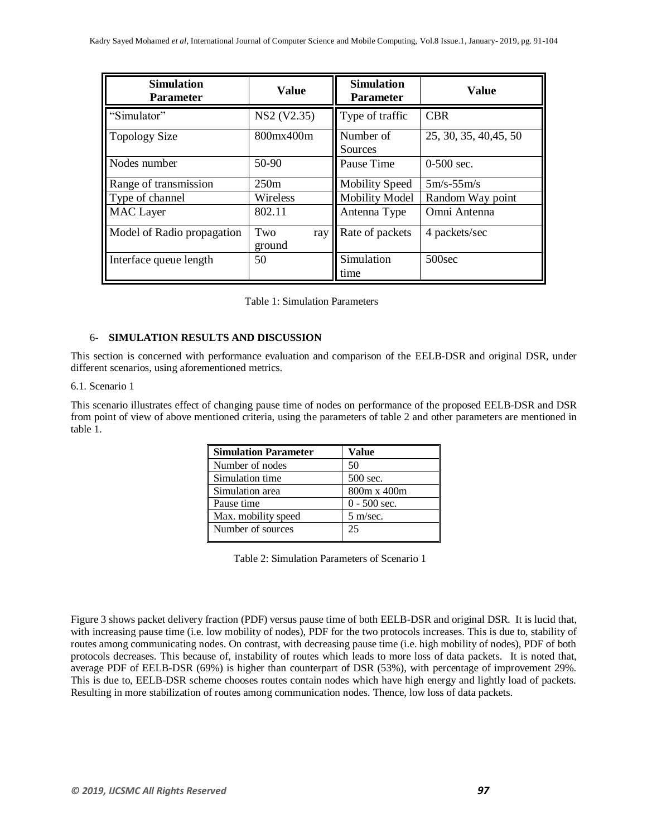| <b>Simulation</b><br><b>Parameter</b> | <b>Value</b>                         | <b>Simulation</b><br><b>Parameter</b> | <b>Value</b>           |
|---------------------------------------|--------------------------------------|---------------------------------------|------------------------|
| "Simulator"                           | NS <sub>2</sub> (V <sub>2.35</sub> ) | Type of traffic                       | <b>CBR</b>             |
| <b>Topology Size</b>                  | 800mx400m                            | Number of<br>Sources                  | 25, 30, 35, 40, 45, 50 |
| Nodes number                          | 50-90                                | Pause Time                            | $0-500$ sec.           |
| Range of transmission                 | 250m                                 | <b>Mobility Speed</b>                 | $5m/s-55m/s$           |
| Type of channel                       | Wireless                             | <b>Mobility Model</b>                 | Random Way point       |
| <b>MAC</b> Layer                      | 802.11                               | Antenna Type                          | Omni Antenna           |
| Model of Radio propagation            | Two<br>ray<br>ground                 | Rate of packets                       | 4 packets/sec          |
| Interface queue length                | 50                                   | Simulation<br>time                    | 500 <sub>sec</sub>     |

Table 1: Simulation Parameters

#### 6- **SIMULATION RESULTS AND DISCUSSION**

This section is concerned with performance evaluation and comparison of the EELB-DSR and original DSR, under different scenarios, using aforementioned metrics.

#### 6.1. Scenario 1

This scenario illustrates effect of changing pause time of nodes on performance of the proposed EELB-DSR and DSR from point of view of above mentioned criteria, using the parameters of table 2 and other parameters are mentioned in table 1.

| <b>Simulation Parameter</b> | Value              |
|-----------------------------|--------------------|
| Number of nodes             | 50                 |
| Simulation time             | 500 sec.           |
| Simulation area             | 800m x 400m        |
| Pause time                  | $0 - 500$ sec.     |
| Max. mobility speed         | $5 \text{ m/sec}.$ |
| Number of sources           | 25                 |

Table 2: Simulation Parameters of Scenario 1

Figure 3 shows packet delivery fraction (PDF) versus pause time of both EELB-DSR and original DSR. It is lucid that, with increasing pause time (i.e. low mobility of nodes), PDF for the two protocols increases. This is due to, stability of routes among communicating nodes. On contrast, with decreasing pause time (i.e. high mobility of nodes), PDF of both protocols decreases. This because of, instability of routes which leads to more loss of data packets. It is noted that, average PDF of EELB-DSR (69%) is higher than counterpart of DSR (53%), with percentage of improvement 29%. This is due to, EELB-DSR scheme chooses routes contain nodes which have high energy and lightly load of packets. Resulting in more stabilization of routes among communication nodes. Thence, low loss of data packets.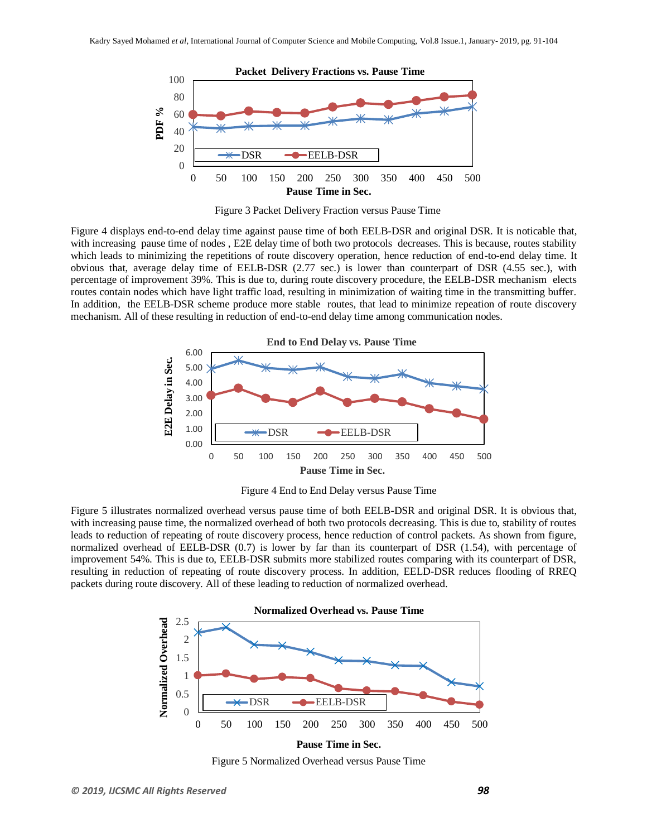

Figure 3 Packet Delivery Fraction versus Pause Time

Figure 4 displays end-to-end delay time against pause time of both EELB-DSR and original DSR. It is noticable that, with increasing pause time of nodes, E2E delay time of both two protocols decreases. This is because, routes stability which leads to minimizing the repetitions of route discovery operation, hence reduction of end-to-end delay time. It obvious that, average delay time of EELB-DSR (2.77 sec.) is lower than counterpart of DSR (4.55 sec.), with percentage of improvement 39%. This is due to, during route discovery procedure, the EELB-DSR mechanism elects routes contain nodes which have light traffic load, resulting in minimization of waiting time in the transmitting buffer. In addition, the EELB-DSR scheme produce more stable routes, that lead to minimize repeation of route discovery mechanism. All of these resulting in reduction of end-to-end delay time among communication nodes.



Figure 4 End to End Delay versus Pause Time

Figure 5 illustrates normalized overhead versus pause time of both EELB-DSR and original DSR. It is obvious that, with increasing pause time, the normalized overhead of both two protocols decreasing. This is due to, stability of routes leads to reduction of repeating of route discovery process, hence reduction of control packets. As shown from figure, normalized overhead of EELB-DSR (0.7) is lower by far than its counterpart of DSR (1.54), with percentage of improvement 54%. This is due to, EELB-DSR submits more stabilized routes comparing with its counterpart of DSR, resulting in reduction of repeating of route discovery process. In addition, EELD-DSR reduces flooding of RREQ packets during route discovery. All of these leading to reduction of normalized overhead.



Figure 5 Normalized Overhead versus Pause Time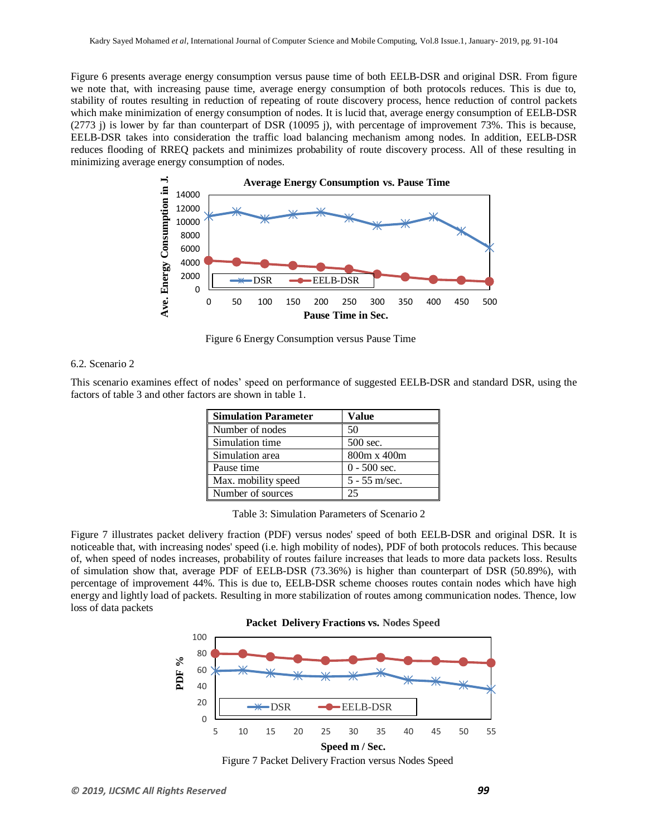Figure 6 presents average energy consumption versus pause time of both EELB-DSR and original DSR. From figure we note that, with increasing pause time, average energy consumption of both protocols reduces. This is due to, stability of routes resulting in reduction of repeating of route discovery process, hence reduction of control packets which make minimization of energy consumption of nodes. It is lucid that, average energy consumption of EELB-DSR (2773 j) is lower by far than counterpart of DSR (10095 j), with percentage of improvement 73%. This is because, EELB-DSR takes into consideration the traffic load balancing mechanism among nodes. In addition, EELB-DSR reduces flooding of RREQ packets and minimizes probability of route discovery process. All of these resulting in minimizing average energy consumption of nodes.



Figure 6 Energy Consumption versus Pause Time

#### 6.2. Scenario 2

This scenario examines effect of nodes' speed on performance of suggested EELB-DSR and standard DSR, using the factors of table 3 and other factors are shown in table 1.

| <b>Simulation Parameter</b> | Value           |
|-----------------------------|-----------------|
| Number of nodes             | 50              |
| Simulation time             | 500 sec.        |
| Simulation area             | 800m x 400m     |
| Pause time                  | $0 - 500$ sec.  |
| Max. mobility speed         | $5 - 55$ m/sec. |
| Number of sources           | 25              |

Table 3: Simulation Parameters of Scenario 2

Figure 7 illustrates packet delivery fraction (PDF) versus nodes' speed of both EELB-DSR and original DSR. It is noticeable that, with increasing nodes' speed (i.e. high mobility of nodes), PDF of both protocols reduces. This because of, when speed of nodes increases, probability of routes failure increases that leads to more data packets loss. Results of simulation show that, average PDF of EELB-DSR (73.36%) is higher than counterpart of DSR (50.89%), with percentage of improvement 44%. This is due to, EELB-DSR scheme chooses routes contain nodes which have high energy and lightly load of packets. Resulting in more stabilization of routes among communication nodes. Thence, low loss of data packets





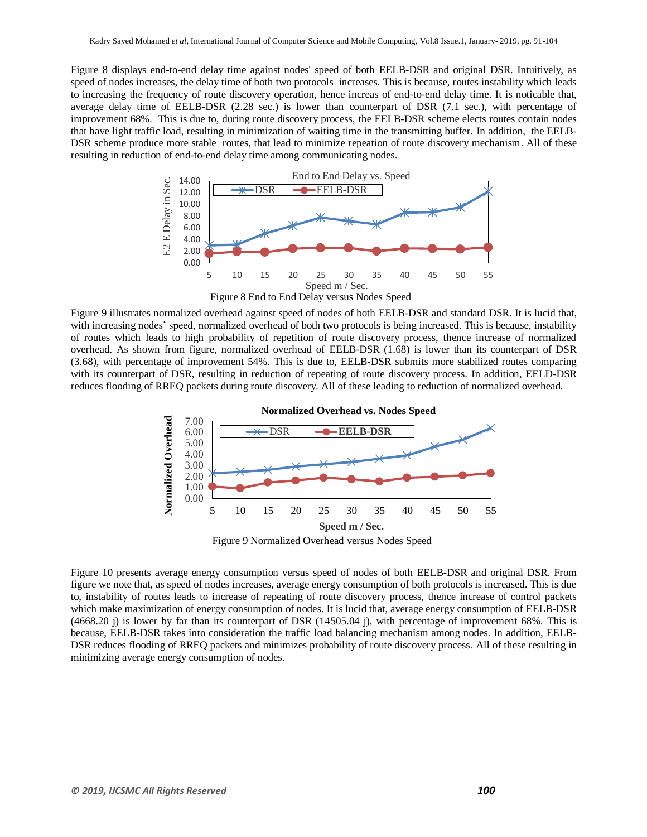Figure 8 displays end-to-end delay time against nodes' speed of both EELB-DSR and original DSR. Intuitively, as speed of nodes increases, the delay time of both two protocols increases. This is because, routes instability which leads to increasing the frequency of route discovery operation, hence increas of end-to-end delay time. It is noticable that, average delay time of EELB-DSR (2.28 sec.) is lower than counterpart of DSR (7.1 sec.), with percentage of improvement 68%. This is due to, during route discovery process, the EELB-DSR scheme elects routes contain nodes that have light traffic load, resulting in minimization of waiting time in the transmitting buffer. In addition, the EELB-DSR scheme produce more stable routes, that lead to minimize repeation of route discovery mechanism. All of these resulting in reduction of end-to-end delay time among communicating nodes.



Figure 8 End to End Delay versus Nodes Speed

Figure 9 illustrates normalized overhead against speed of nodes of both EELB-DSR and standard DSR. It is lucid that, with increasing nodes' speed, normalized overhead of both two protocols is being increased. This is because, instability of routes which leads to high probability of repetition of route discovery process, thence increase of normalized overhead. As shown from figure, normalized overhead of EELB-DSR (1.68) is lower than its counterpart of DSR (3.68), with percentage of improvement 54%. This is due to, EELB-DSR submits more stabilized routes comparing with its counterpart of DSR, resulting in reduction of repeating of route discovery process. In addition, EELD-DSR reduces flooding of RREQ packets during route discovery. All of these leading to reduction of normalized overhead.



Figure 9 Normalized Overhead versus Nodes Speed

Figure 10 presents average energy consumption versus speed of nodes of both EELB-DSR and original DSR. From figure we note that, as speed of nodes increases, average energy consumption of both protocols is increased. This is due to, instability of routes leads to increase of repeating of route discovery process, thence increase of control packets which make maximization of energy consumption of nodes. It is lucid that, average energy consumption of EELB-DSR (4668.20 j) is lower by far than its counterpart of DSR (14505.04 j), with percentage of improvement 68%. This is because, EELB-DSR takes into consideration the traffic load balancing mechanism among nodes. In addition, EELB-DSR reduces flooding of RREQ packets and minimizes probability of route discovery process. All of these resulting in minimizing average energy consumption of nodes.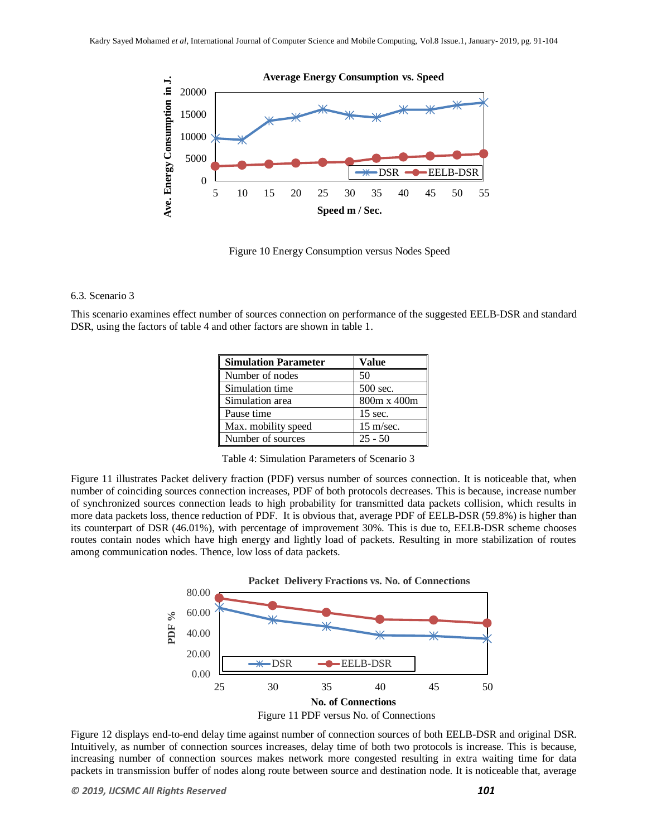

Figure 10 Energy Consumption versus Nodes Speed

#### 6.3. Scenario 3

This scenario examines effect number of sources connection on performance of the suggested EELB-DSR and standard DSR, using the factors of table 4 and other factors are shown in table 1.

| <b>Simulation Parameter</b> | Value               |
|-----------------------------|---------------------|
| Number of nodes             | 50                  |
| Simulation time             | 500 sec.            |
| Simulation area             | 800m x 400m         |
| Pause time                  | $15 \text{ sec.}$   |
| Max. mobility speed         | $15 \text{ m/sec.}$ |
| Number of sources           | $25 - 50$           |

Table 4: Simulation Parameters of Scenario 3

Figure 11 illustrates Packet delivery fraction (PDF) versus number of sources connection. It is noticeable that, when number of coinciding sources connection increases, PDF of both protocols decreases. This is because, increase number of synchronized sources connection leads to high probability for transmitted data packets collision, which results in more data packets loss, thence reduction of PDF. It is obvious that, average PDF of EELB-DSR (59.8%) is higher than its counterpart of DSR (46.01%), with percentage of improvement 30%. This is due to, EELB-DSR scheme chooses routes contain nodes which have high energy and lightly load of packets. Resulting in more stabilization of routes among communication nodes. Thence, low loss of data packets.



Figure 12 displays end-to-end delay time against number of connection sources of both EELB-DSR and original DSR. Intuitively, as number of connection sources increases, delay time of both two protocols is increase. This is because, increasing number of connection sources makes network more congested resulting in extra waiting time for data packets in transmission buffer of nodes along route between source and destination node. It is noticeable that, average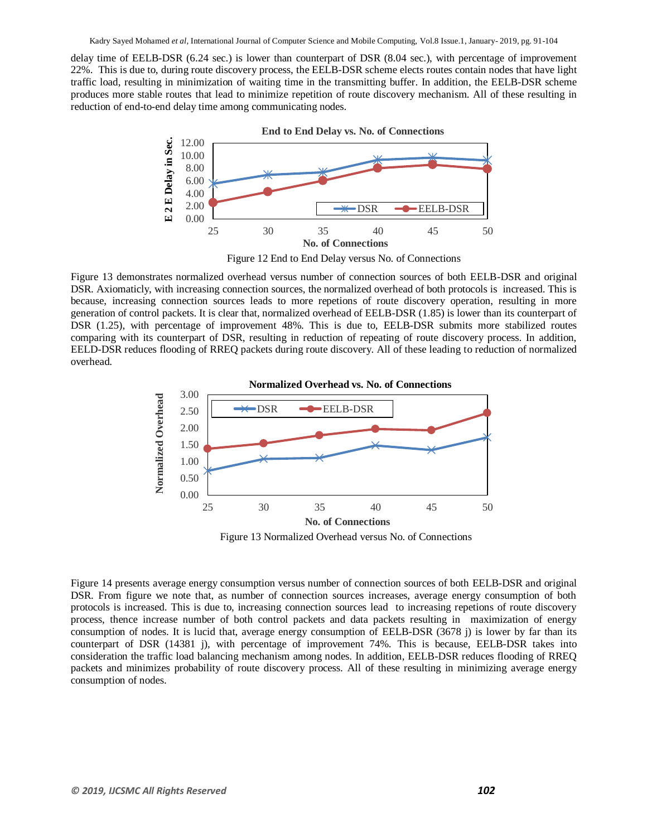delay time of EELB-DSR (6.24 sec.) is lower than counterpart of DSR (8.04 sec.), with percentage of improvement 22%. This is due to, during route discovery process, the EELB-DSR scheme elects routes contain nodes that have light traffic load, resulting in minimization of waiting time in the transmitting buffer. In addition, the EELB-DSR scheme produces more stable routes that lead to minimize repetition of route discovery mechanism. All of these resulting in reduction of end-to-end delay time among communicating nodes.



Figure 12 End to End Delay versus No. of Connections

Figure 13 demonstrates normalized overhead versus number of connection sources of both EELB-DSR and original DSR. Axiomaticly, with increasing connection sources, the normalized overhead of both protocols is increased. This is because, increasing connection sources leads to more repetions of route discovery operation, resulting in more generation of control packets. It is clear that, normalized overhead of EELB-DSR (1.85) is lower than its counterpart of DSR (1.25), with percentage of improvement 48%. This is due to, EELB-DSR submits more stabilized routes comparing with its counterpart of DSR, resulting in reduction of repeating of route discovery process. In addition, EELD-DSR reduces flooding of RREQ packets during route discovery. All of these leading to reduction of normalized overhead.



Figure 13 Normalized Overhead versus No. of Connections

Figure 14 presents average energy consumption versus number of connection sources of both EELB-DSR and original DSR. From figure we note that, as number of connection sources increases, average energy consumption of both protocols is increased. This is due to, increasing connection sources lead to increasing repetions of route discovery process, thence increase number of both control packets and data packets resulting in maximization of energy consumption of nodes. It is lucid that, average energy consumption of EELB-DSR (3678 j) is lower by far than its counterpart of DSR (14381 j), with percentage of improvement 74%. This is because, EELB-DSR takes into consideration the traffic load balancing mechanism among nodes. In addition, EELB-DSR reduces flooding of RREQ packets and minimizes probability of route discovery process. All of these resulting in minimizing average energy consumption of nodes.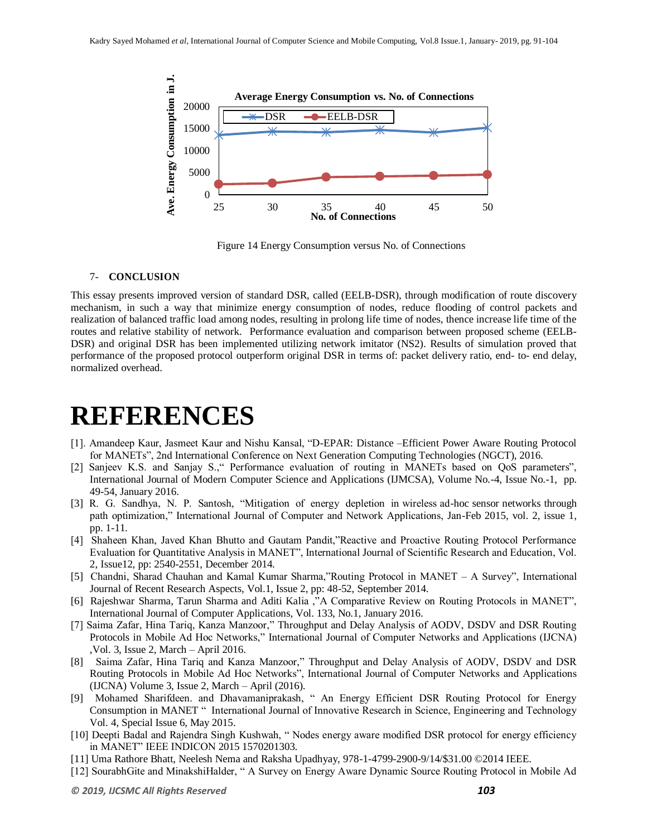

Figure 14 Energy Consumption versus No. of Connections

#### 7- **CONCLUSION**

This essay presents improved version of standard DSR, called (EELB-DSR), through modification of route discovery mechanism, in such a way that minimize energy consumption of nodes, reduce flooding of control packets and realization of balanced traffic load among nodes, resulting in prolong life time of nodes, thence increase life time of the routes and relative stability of network. Performance evaluation and comparison between proposed scheme (EELB-DSR) and original DSR has been implemented utilizing network imitator (NS2). Results of simulation proved that performance of the proposed protocol outperform original DSR in terms of: packet delivery ratio, end- to- end delay, normalized overhead.

## **REFERENCES**

- [1]. Amandeep Kaur, Jasmeet Kaur and Nishu Kansal, "D-EPAR: Distance –Efficient Power Aware Routing Protocol for MANETs", 2nd International Conference on Next Generation Computing Technologies (NGCT), 2016.
- [2] Sanjeev K.S. and Sanjay S.," Performance evaluation of routing in MANETs based on QoS parameters", International Journal of Modern Computer Science and Applications (IJMCSA), Volume No.-4, Issue No.-1, pp. 49-54, January 2016.
- [3] R. G. Sandhya, N. P. Santosh, "Mitigation of energy depletion in wireless ad-hoc sensor networks through path optimization," International Journal of Computer and Network Applications, Jan-Feb 2015, vol. 2, issue 1, pp. 1-11.
- [4] Shaheen Khan, Javed Khan Bhutto and Gautam Pandit,"Reactive and Proactive Routing Protocol Performance Evaluation for Quantitative Analysis in MANET", International Journal of Scientific Research and Education, Vol. 2, Issue12, pp: 2540-2551, December 2014.
- [5] Chandni, Sharad Chauhan and Kamal Kumar Sharma,"Routing Protocol in MANET A Survey", International Journal of Recent Research Aspects, Vol.1, Issue 2, pp: 48-52, September 2014.
- [6] Rajeshwar Sharma, Tarun Sharma and Aditi Kalia ,"A Comparative Review on Routing Protocols in MANET", International Journal of Computer Applications, Vol. 133, No.1, January 2016.
- [7] Saima Zafar, Hina Tariq, Kanza Manzoor," Throughput and Delay Analysis of AODV, DSDV and DSR Routing Protocols in Mobile Ad Hoc Networks," International Journal of Computer Networks and Applications (IJCNA) ,Vol. 3, Issue 2, March – April 2016.
- [8] Saima Zafar, Hina Tariq and Kanza Manzoor," Throughput and Delay Analysis of AODV, DSDV and DSR Routing Protocols in Mobile Ad Hoc Networks", International Journal of Computer Networks and Applications (IJCNA) Volume 3, Issue 2, March – April (2016).
- [9] Mohamed Sharifdeen. and Dhavamaniprakash, " An Energy Efficient DSR Routing Protocol for Energy Consumption in MANET " International Journal of Innovative Research in Science, Engineering and Technology Vol. 4, Special Issue 6, May 2015.
- [10] Deepti Badal and Rajendra Singh Kushwah, " Nodes energy aware modified DSR protocol for energy efficiency in MANET" IEEE INDICON 2015 1570201303.
- [11] Uma Rathore Bhatt, Neelesh Nema and Raksha Upadhyay, 978-1-4799-2900-9/14/\$31.00 ©2014 IEEE.
- [12] SourabhGite and MinakshiHalder, " A Survey on Energy Aware Dynamic Source Routing Protocol in Mobile Ad